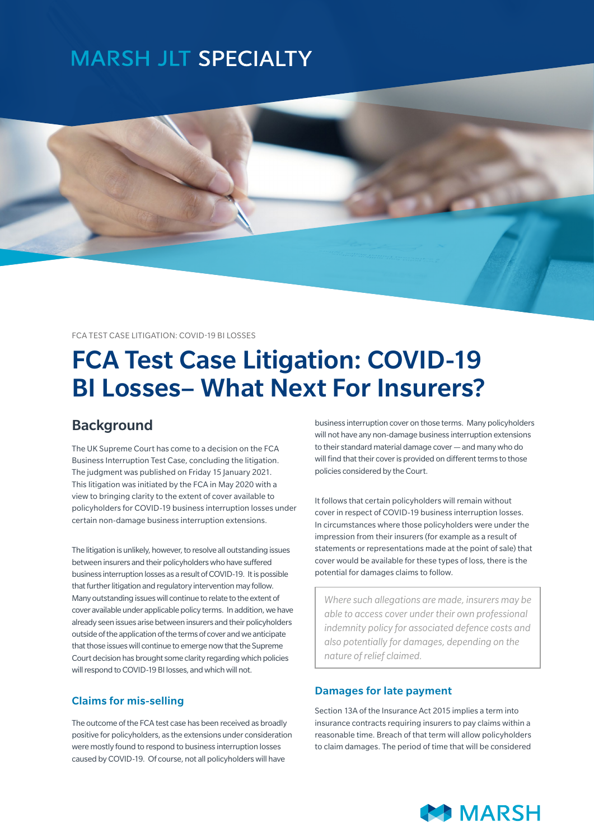## **MARSH JLT SPECIALTY**



FCA TEST CASE LITIGATION: COVID-19 BI LOSSES

# FCA Test Case Litigation: COVID-19 BI Losses– What Next For Insurers?

### **Background**

The UK Supreme Court has come to a decision on the FCA Business Interruption Test Case, concluding the litigation. The judgment was published on Friday 15 January 2021. This litigation was initiated by the FCA in May 2020 with a view to bringing clarity to the extent of cover available to policyholders for COVID-19 business interruption losses under certain non-damage business interruption extensions.

The litigation is unlikely, however, to resolve all outstanding issues between insurers and their policyholders who have suffered business interruption losses as a result of COVID-19. It is possible that further litigation and regulatory intervention may follow. Many outstanding issues will continue to relate to the extent of cover available under applicable policy terms. In addition, we have already seen issues arise between insurers and their policyholders outside of the application of the terms of cover and we anticipate that those issues will continue to emerge now that the Supreme Court decision has brought some clarity regarding which policies will respond to COVID-19 BI losses, and which will not.

#### Claims for mis-selling

The outcome of the FCA test case has been received as broadly positive for policyholders, as the extensions under consideration were mostly found to respond to business interruption losses caused by COVID-19. Of course, not all policyholders will have

business interruption cover on those terms. Many policyholders will not have any non-damage business interruption extensions to their standard material damage cover — and many who do will find that their cover is provided on different terms to those policies considered by the Court.

It follows that certain policyholders will remain without cover in respect of COVID-19 business interruption losses. In circumstances where those policyholders were under the impression from their insurers (for example as a result of statements or representations made at the point of sale) that cover would be available for these types of loss, there is the potential for damages claims to follow.

*Where such allegations are made, insurers may be able to access cover under their own professional indemnity policy for associated defence costs and also potentially for damages, depending on the nature of relief claimed.* 

#### Damages for late payment

Section 13A of the Insurance Act 2015 implies a term into insurance contracts requiring insurers to pay claims within a reasonable time. Breach of that term will allow policyholders to claim damages. The period of time that will be considered